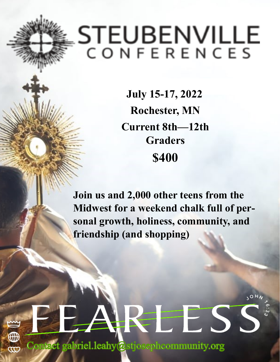# STEUBENVILLE

**July 15-17, 2022 Rochester, MN Current 8th—12th Graders \$400**

**Join us and 2,000 other teens from the Midwest for a weekend chalk full of personal growth, holiness, community, and friendship (and shopping)** 

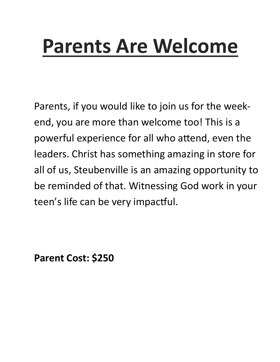## **Parents Are Welcome**

Parents, if you would like to join us for the weekend, you are more than welcome too! This is a powerful experience for all who attend, even the leaders. Christ has something amazing in store for all of us, Steubenville is an amazing opportunity to be reminded of that. Witnessing God work in your teen's life can be very impactful.

**Parent Cost: \$250**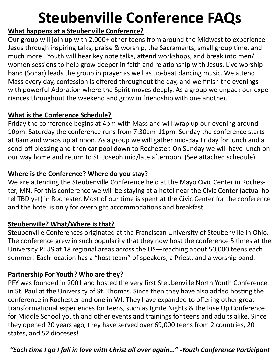## **Steubenville Conference FAQs**

#### **What happens at a Steubenville Conference?**

Our group will join up with 2,000+ other teens from around the Midwest to experience Jesus through inspiring talks, praise & worship, the Sacraments, small group time, and much more. Youth will hear key note talks, attend workshops, and break into men/ women sessions to help grow deeper in faith and relationship with Jesus. Live worship band (Sonar) leads the group in prayer as well as up-beat dancing music. We attend Mass every day, confession is offered throughout the day, and we finish the evenings with powerful Adoration where the Spirit moves deeply. As a group we unpack our experiences throughout the weekend and grow in friendship with one another.

#### **What is the Conference Schedule?**

Friday the conference begins at 4pm with Mass and will wrap up our evening around 10pm. Saturday the conference runs from 7:30am-11pm. Sunday the conference starts at 8am and wraps up at noon. As a group we will gather mid-day Friday for lunch and a send-off blessing and then car pool down to Rochester. On Sunday we will have lunch on our way home and return to St. Joseph mid/late afternoon. (See attached schedule)

#### **Where is the Conference? Where do you stay?**

We are attending the Steubenville Conference held at the Mayo Civic Center in Rochester, MN. For this conference we will be staying at a hotel near the Civic Center (actual hotel TBD yet) in Rochester. Most of our time is spent at the Civic Center for the conference and the hotel is only for overnight accommodations and breakfast.

#### **Steubenville? What/Where is that?**

Steubenville Conferences originated at the Franciscan University of Steubenville in Ohio. The conference grew in such popularity that they now host the conference 5 times at the University PLUS at 18 regional areas across the US—reaching about 50,000 teens each summer! Each location has a "host team" of speakers, a Priest, and a worship band.

#### **Partnership For Youth? Who are they?**

PFY was founded in 2001 and hosted the very first Steubenville North Youth Conference in St. Paul at the University of St. Thomas. Since then they have also added hosting the conference in Rochester and one in WI. They have expanded to offering other great transformational experiences for teens, such as Ignite Nights & the Rise Up Conference for Middle School youth and other events and trainings for teens and adults alike. Since they opened 20 years ago, they have served over 69,000 teens from 2 countries, 20 states, and 52 dioceses!

#### *"Each time I go I fall in love with Christ all over again…" -Youth Conference Participant*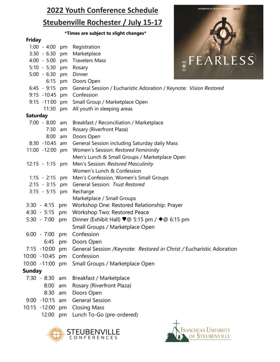#### 2022 Youth Conference Schedule Steubenville Rochester / July 15-17



**STEUBENVILLE YOUTH CONFERE** 

2022

- 3:15 5:15 pm Recharge Marketplace / Small Groups
- 3:30 4:15 pm Workshop One: Restored Relationship: Prayer
- 4:30 5:15 pm Workshop Two: Restored Peace
- 5:30 7:00 pm Dinner (Exhibit Hall) ♥ @ 5:15 pm / ◆ @ 6:15 pm Small Groups / Marketplace Open
- 6:00 7:00 pm Confession
- 6:45 pm Doors Open
- 7:15 -10:00 pm General Session /Keynote: Restored in Christ / Eucharistic Adoration
- 10:00 -10:45 pm Confession
- 10:00 -11:00 pm Small Groups / Marketplace Open

#### **Sunday**

Friday

**Saturday** 

5:10 - 5:30 pm Rosary 5:00 - 6:30 pm Dinner

- 7:30 8:30 am Breakfast / Marketplace
	- 8:00 am Rosary (Riverfront Plaza)
	- 8:30 am Doors Open
- 9:00 -10:15 am General Session
- 10:15 -12:00 pm Closing Mass
	- 12:00 pm Lunch To-Go (pre-ordered)



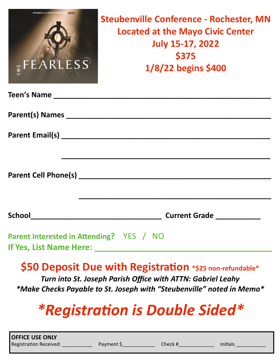| <b>STEUBENVILLE YOUTH CONFERENCI</b><br>FEARLESS                           | <b>Steubenville Conference - Rochester, MN</b><br><b>Located at the Mayo Civic Center</b><br><b>July 15-17, 2022</b><br>\$375<br>1/8/22 begins \$400 |
|----------------------------------------------------------------------------|------------------------------------------------------------------------------------------------------------------------------------------------------|
| Teen's Name                                                                |                                                                                                                                                      |
|                                                                            |                                                                                                                                                      |
|                                                                            |                                                                                                                                                      |
| Parent Cell Phone(s)                                                       |                                                                                                                                                      |
| School                                                                     | Current Grade                                                                                                                                        |
| <b>Parent Interested in Attending?</b> YES / NO<br>If Yes, List Name Here: |                                                                                                                                                      |
|                                                                            | \$50 Deposit Due with Registration *\$25 non-refundable*                                                                                             |

*Turn into St. Joseph Parish Office with ATTN: Gabriel Leahy \*Make Checks Payable to St. Joseph with "Steubenville" noted in Memo\**

### *\*Registration is Double Sided\**

| <b>OFFICE USE ONLY</b>        |           |          |          |
|-------------------------------|-----------|----------|----------|
| <b>Registration Received:</b> | Payment S | Check #l | Initials |